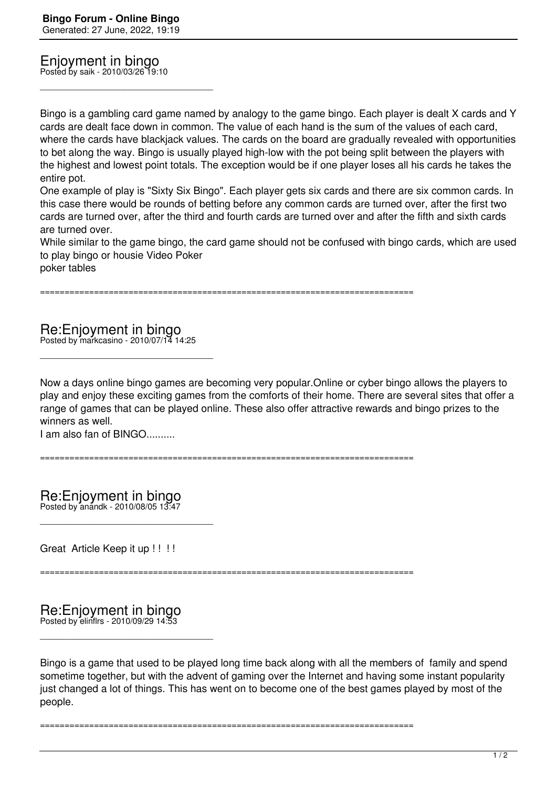Enjoyment in bingo Posted by saik - 2010/03/26 19:10

\_\_\_\_\_\_\_\_\_\_\_\_\_\_\_\_\_\_\_\_\_\_\_\_\_\_\_\_\_\_\_\_\_\_\_\_\_

Bingo is a gambling card game named by analogy to the game bingo. Each player is dealt X cards and Y cards are dealt face down in common. The value of each hand is the sum of the values of each card, where the cards have blackjack values. The cards on the board are gradually revealed with opportunities to bet along the way. Bingo is usually played high-low with the pot being split between the players with the highest and lowest point totals. The exception would be if one player loses all his cards he takes the entire pot.

One example of play is "Sixty Six Bingo". Each player gets six cards and there are six common cards. In this case there would be rounds of betting before any common cards are turned over, after the first two cards are turned over, after the third and fourth cards are turned over and after the fifth and sixth cards are turned over.

While similar to the game bingo, the card game should not be confused with bingo cards, which are used to play bingo or housie Video Poker

poker tables

============================================================================

Re:Enjoyment in bingo Posted by markcasino - 2010/07/14 14:25

\_\_\_\_\_\_\_\_\_\_\_\_\_\_\_\_\_\_\_\_\_\_\_\_\_\_\_\_\_\_\_\_\_\_\_\_\_

Now a days online bingo games are becoming very popular.Online or cyber bingo allows the players to play and enjoy these exciting games from the comforts of their home. There are several sites that offer a range of games that can be played online. These also offer attractive rewards and bingo prizes to the winners as well.

I am also fan of BINGO..........

============================================================================

Re:Enjoyment in bingo Posted by anandk - 2010/08/05 13:47

\_\_\_\_\_\_\_\_\_\_\_\_\_\_\_\_\_\_\_\_\_\_\_\_\_\_\_\_\_\_\_\_\_\_\_\_\_

Great Article Keep it up !!!!

============================================================================

## Re:Enjoyment in bingo Posted by elinflrs - 2010/09/29 14:53

\_\_\_\_\_\_\_\_\_\_\_\_\_\_\_\_\_\_\_\_\_\_\_\_\_\_\_\_\_\_\_\_\_\_\_\_\_

Bingo is a game that used to be played long time back along with all the members of family and spend sometime together, but with the advent of gaming over the Internet and having some instant popularity just changed a lot of things. This has went on to become one of the best games played by most of the people.

============================================================================